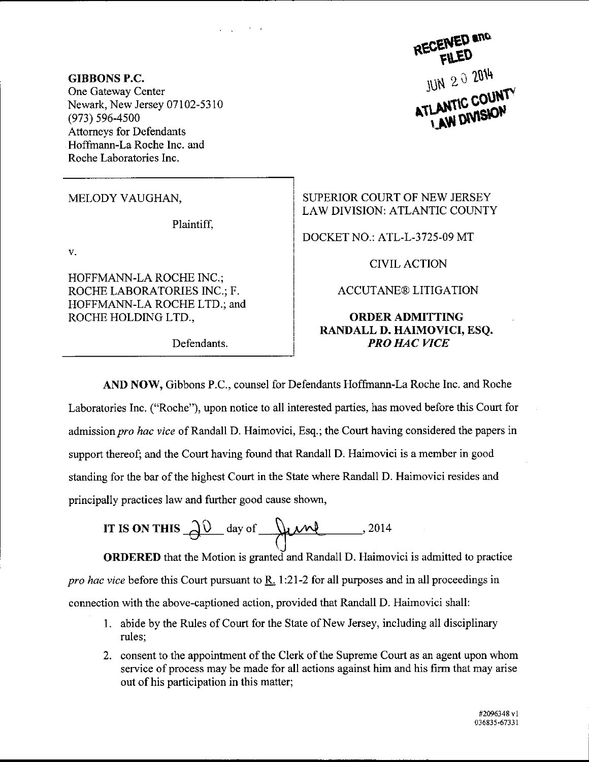RECENED and JUN 2 0 2014

GIBBONS P.C. One Gateway Center Newark, New Jersey 07102-5310 (973) s96-4s00 Attorneys for Defendants Hoffmann-La Roche Inc. and Roche Laboratories Inc.

MELODY VAUGHAN,

Plaintiff.

V.

HOFFMANN.LA ROCHE INC.; ROCHE LABORATORIES INC.; F. HOFFMANN-LA ROCHE LTD.; and ROCHE HOLDING LTD.,

SUPERIOR COURT OF NEW JERSEY LAW DIVISION: ATLANTIC COUNTY

DOCKET NO.: ATL-L-3725-09 MT

CIVIL ACTION

ACCUTANE@ LITIGATION

## ORDERADMITTING RANDALL D. HAIMOVICI, ESQ. Defendants. **PRO HAC VICE**

AND NOW, Gibbons P.C., counsel for Defendants Hoffmann-La Roche Inc. and Roche Laboratories Inc. ("Roche"), upon notice to all interested parties, has moved before this Court for admission pro hac vice of Randall D. Haimovici, Esq.; the Court having considered the papers in support thereof; and the Court having found that Randall D. Haimovici is a member in good standing for the bar of the highest Court in the State where Randall D. Haimovici resides and principally practices law and further good cause shown,

IT IS ON THIS  $\partial^0$  day of  $\mu$  . 2014

ORDERED that the Motion is granted and Randall D. Haimovici is admitted to practice pro hac vice before this Court pursuant to  $R_1$  1:21-2 for all purposes and in all proceedings in connection with the above-captioned action, provided that Randall D. Haimovici shall:

- <sup>1</sup>. abide by the Rules of Court for the State of New Jersey, including all disciplinary rules;
- 2. consent to the appointment of the Clerk of the Supreme Court as an agent upon whom service of process may be made for all actions against him and his firm that may arise out of his participation in this matter;